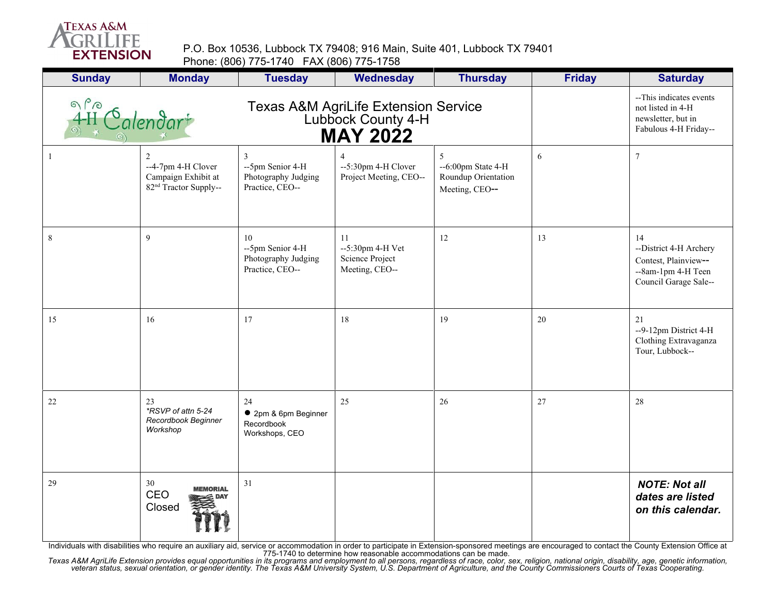

P.O. Box 10536, Lubbock TX 79408; 916 Main, Suite 401, Lubbock TX 79401 Phone: (806) 775-1740 FAX (806) 775-1758

| <b>Sunday</b>                                                                                                                 | <b>Monday</b>                                                                       | <b>Tuesday</b>                                                   | <b>Wednesday</b>                                            | <b>Thursday</b>                                                      | <b>Friday</b> | <b>Saturday</b>                                                                                     |
|-------------------------------------------------------------------------------------------------------------------------------|-------------------------------------------------------------------------------------|------------------------------------------------------------------|-------------------------------------------------------------|----------------------------------------------------------------------|---------------|-----------------------------------------------------------------------------------------------------|
| $\frac{1}{4}H$<br>Texas A&M AgriLife Extension Service<br>Lubbock County 4-H<br>$\mathcal{L}$ alendar $^*$<br><b>MAY 2022</b> |                                                                                     |                                                                  |                                                             |                                                                      |               | --This indicates events<br>not listed in 4-H<br>newsletter, but in<br>Fabulous 4-H Friday--         |
|                                                                                                                               | 2<br>--4-7pm 4-H Clover<br>Campaign Exhibit at<br>82 <sup>nd</sup> Tractor Supply-- | 3<br>--5pm Senior 4-H<br>Photography Judging<br>Practice, CEO--  | --5:30pm 4-H Clover<br>Project Meeting, CEO--               | 5<br>$-6:00$ pm State $4-H$<br>Roundup Orientation<br>Meeting, CEO-- | 6             | $\boldsymbol{7}$                                                                                    |
| $\,8\,$                                                                                                                       | 9                                                                                   | 10<br>--5pm Senior 4-H<br>Photography Judging<br>Practice, CEO-- | 11<br>--5:30pm 4-H Vet<br>Science Project<br>Meeting, CEO-- | 12                                                                   | 13            | 14<br>--District 4-H Archery<br>Contest, Plainview--<br>--8am-1pm 4-H Teen<br>Council Garage Sale-- |
| 15                                                                                                                            | 16                                                                                  | 17                                                               | 18                                                          | 19                                                                   | 20            | 21<br>--9-12pm District 4-H<br>Clothing Extravaganza<br>Tour, Lubbock--                             |
| $22\,$                                                                                                                        | 23<br>*RSVP of attn 5-24<br>Recordbook Beginner<br>Workshop                         | 24<br>• 2pm & 6pm Beginner<br>Recordbook<br>Workshops, CEO       | 25                                                          | 26                                                                   | 27            | 28                                                                                                  |
| 29                                                                                                                            | 30<br><b>MEMORIAL</b><br>CEO<br>Closed                                              | 31                                                               |                                                             |                                                                      |               | <b>NOTE: Not all</b><br>dates are listed<br>on this calendar.                                       |

Individuals with disabilities who require an auxiliary aid, service or accommodation in order to participate in Extension-sponsored meetings are encouraged to contact the County Extension Office at<br>Texas A&M AgriLife Exten